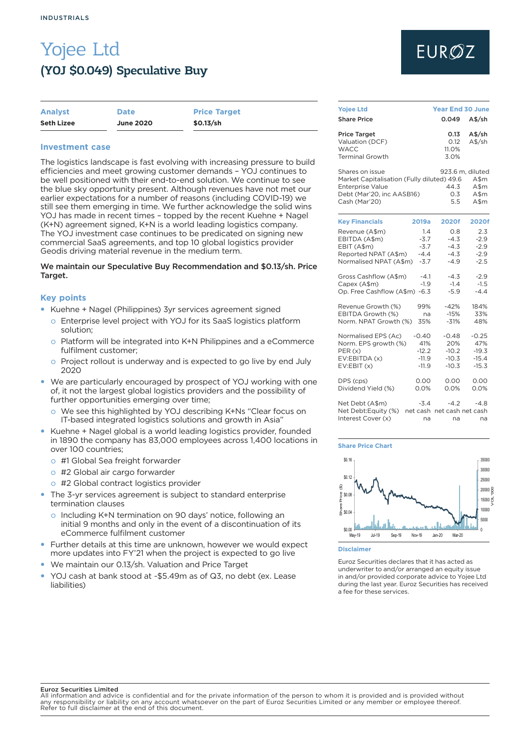# Yojee Ltd (YOJ \$0.049) Speculative Buy

| <b>Analyst</b>    | <b>Date</b>      | <b>Price Target</b> |
|-------------------|------------------|---------------------|
| <b>Seth Lizee</b> | <b>June 2020</b> | \$0.13/sh           |

## **Investment case**

The logistics landscape is fast evolving with increasing pressure to build efficiencies and meet growing customer demands – YOJ continues to be well positioned with their end-to-end solution. We continue to see the blue sky opportunity present. Although revenues have not met our earlier expectations for a number of reasons (including COVID-19) we still see them emerging in time. We further acknowledge the solid wins YOJ has made in recent times – topped by the recent Kuehne + Nagel (K+N) agreement signed, K+N is a world leading logistics company. The YOJ investment case continues to be predicated on signing new commercial SaaS agreements, and top 10 global logistics provider Geodis driving material revenue in the medium term.

### We maintain our Speculative Buy Recommendation and \$0.13/sh. Price Target.

### **Key points**

- Kuehne + Nagel (Philippines) 3yr services agreement signed
	- o Enterprise level project with YOJ for its SaaS logistics platform solution;
	- o Platform will be integrated into K+N Philippines and a eCommerce fulfilment customer;
	- o Project rollout is underway and is expected to go live by end July 2020
- We are particularly encouraged by prospect of YOJ working with one of, it not the largest global logistics providers and the possibility of further opportunities emerging over time;
	- o We see this highlighted by YOJ describing K+Ns "Clear focus on IT-based integrated logistics solutions and growth in Asia"
- Kuehne + Nagel global is a world leading logistics provider, founded in 1890 the company has 83,000 employees across 1,400 locations in over 100 countries;
- o #1 Global Sea freight forwarder
- o #2 Global air cargo forwarder
- o #2 Global contract logistics provider
- The 3-yr services agreement is subject to standard enterprise termination clauses
	- o Including K+N termination on 90 days' notice, following an initial 9 months and only in the event of a discontinuation of its eCommerce fulfilment customer
- Further details at this time are unknown, however we would expect more updates into FY'21 when the project is expected to go live
- We maintain our 0.13/sh. Valuation and Price Target
- y YOJ cash at bank stood at ~\$5.49m as of Q3, no debt (ex. Lease liabilities)

# **EUROZ**

| <b>Yojee Ltd</b>                                                                                                                       | <b>Year End 30 June</b>                                                      |
|----------------------------------------------------------------------------------------------------------------------------------------|------------------------------------------------------------------------------|
| <b>Share Price</b>                                                                                                                     | 0.049<br>A\$/sh                                                              |
| <b>Price Target</b><br>Valuation (DCF)<br><b>WACC</b><br><b>Terminal Growth</b>                                                        | 0.13<br>A\$/sh<br>0.12<br>$A$$ /sh<br>11.0%<br>3.0%                          |
| Shares on issue<br>Market Capitalisation (Fully diluted) 49.6<br><b>Enterprise Value</b><br>Debt (Mar'20, inc AASB16)<br>Cash (Mar'20) | 923.6 m, diluted<br>$A$ \$m<br>44.3<br>A\$m<br>0.3<br>A\$m<br>5.5<br>$A$ \$m |
| <b>Key Financials</b>                                                                                                                  | 2020f                                                                        |
| 2019a                                                                                                                                  | 2020f                                                                        |
| Revenue (A\$m)                                                                                                                         | 0.8                                                                          |
| 1.4                                                                                                                                    | 2.3                                                                          |
| $-3.7$                                                                                                                                 | $-2.9$                                                                       |
| EBITDA (A\$m)                                                                                                                          | $-4.3$                                                                       |
| EBIT (A\$m)                                                                                                                            | $-4.3$                                                                       |
| $-3.7$                                                                                                                                 | $-2.9$                                                                       |
| Reported NPAT (A\$m)                                                                                                                   | $-4.3$                                                                       |
| $-4.4$                                                                                                                                 | $-2.9$                                                                       |
| Normalised NPAT (A\$m)                                                                                                                 | $-2.5$                                                                       |
| $-3.7$                                                                                                                                 | $-4.9$                                                                       |
| Gross Cashflow (A\$m)                                                                                                                  | $-4.3$                                                                       |
| $-4.1$                                                                                                                                 | $-2.9$                                                                       |
| Capex (A\$m)                                                                                                                           | $-1.5$                                                                       |
| $-1.9$                                                                                                                                 | $-1.4$                                                                       |
| $-6.3$                                                                                                                                 | $-5.9$                                                                       |
| Op. Free Cashflow (A\$m)                                                                                                               | $-4.4$                                                                       |
| Revenue Growth (%)                                                                                                                     | $-42%$                                                                       |
| 99%                                                                                                                                    | 184%                                                                         |
| EBITDA Growth (%)                                                                                                                      | $-15%$                                                                       |
| na                                                                                                                                     | 33%                                                                          |
| Norm. NPAT Growth (%)                                                                                                                  | $-31%$                                                                       |
| 35%                                                                                                                                    | 48%                                                                          |
| Normalised EPS (Ac)                                                                                                                    | $-0.25$                                                                      |
| -0.40                                                                                                                                  | -0.48                                                                        |
| Norm. EPS growth (%)                                                                                                                   | 20%                                                                          |
| 41%                                                                                                                                    | 47%                                                                          |
| $-12.2$                                                                                                                                | $-10.2$                                                                      |
| PER(x)                                                                                                                                 | $-19.3$                                                                      |
| EV:EBITDA (x)                                                                                                                          | $-10.3$                                                                      |
| $-11.9$                                                                                                                                | $-15.4$                                                                      |
| EV:EBIT(x)                                                                                                                             | $-10.3$                                                                      |
| $-11.9$                                                                                                                                | $-15.3$                                                                      |
| DPS (cps)                                                                                                                              | 0.00                                                                         |
| 0.00                                                                                                                                   | 0.00                                                                         |
| Dividend Yield (%)                                                                                                                     | 0.0%                                                                         |
| 0.0%                                                                                                                                   | 0.0%                                                                         |
| $-3.4$                                                                                                                                 | $-4.2$                                                                       |
| Net Debt (A\$m)                                                                                                                        | $-4.8$                                                                       |
| Net Debt:Equity (%)                                                                                                                    | net cash net cash net cash                                                   |
| Interest Cover (x)                                                                                                                     | na                                                                           |
| na                                                                                                                                     | na                                                                           |

#### **Share Price Chart**



**Disclaimer**

Euroz Securities declares that it has acted as underwriter to and/or arranged an equity issue in and/or provided corporate advice to Yojee Ltd during the last year. Euroz Securities has received a fee for these services.

#### Euroz Securities Limited

All information and advice is confidential and for the private information of the person to whom it is provided and is provided without any responsibility or liability on any account whatsoever on the part of Euroz Securities Limited or any member or employee thereof. Refer to full disclaimer at the end of this document.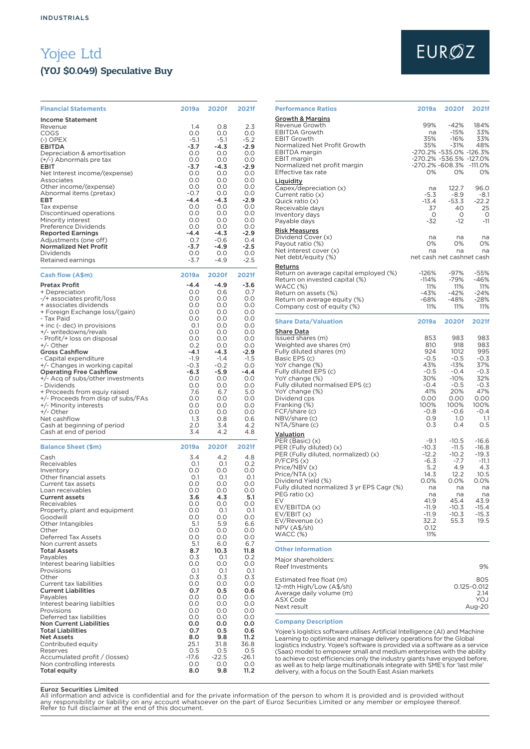# Yojee Ltd (YOJ \$0.049) Speculative Buy

| <b>Financial Statements</b>                                        | 2019a         | <b>2020f</b>   | <b>2021f</b>  |
|--------------------------------------------------------------------|---------------|----------------|---------------|
| <b>Income Statement</b>                                            |               |                |               |
| Revenue<br>COGS                                                    | 1.4<br>0.0    | 0.8<br>0.0     | 2.3<br>O.O    |
| $(-)$ OPEX                                                         | $-5.1$        | $-5.1$         | $-5.2$        |
| EBITDA<br>Depreciation & amortisation                              | -3.7<br>0.0   | -4.3<br>0.0    | $-2.9$<br>0.0 |
| (+/-) Abnormals pre tax                                            | 0.0           | 0.0            | 0.0           |
| EBIT                                                               | -3.7          | $-4.3$         | -2.9          |
| Net Interest income/(expense)<br>Associates                        | 0.0<br>0.0    | 0.0<br>0.0     | 0.0<br>0.0    |
| Other income/(expense)                                             | 0.0           | 0.0            | 0.0           |
| Abnormal items (pretax)                                            | $-0.7$        | 0.0            | 0.0           |
| EBT<br>Tax expense                                                 | $-4.4$<br>0.0 | -4.3<br>0.0    | $-2.9$<br>0.0 |
| Discontinued operations                                            | 0.0           | 0.0            | 0.0           |
| Minority interest<br>Preference Dividends                          | 0.0<br>0.0    | 0.0<br>0.0     | 0.0<br>0.0    |
| <b>Reported Earnings</b>                                           | -4.4          | -4.3           | $-2.9$        |
| Adjustments (one off)                                              | 0.7           | $-0.6$         | 0.4           |
| <b>Normalized Net Profit</b><br>Dividends                          | -3.7<br>0.0   | -4.9<br>0.0    | $-2.5$<br>0.0 |
| Retained earnings                                                  | $-3.7$        | $-4.9$         | $-2.5$        |
| Cash flow (A\$m)                                                   | 2019a         | 2020f          | 2021f         |
| <b>Pretax Profit</b>                                               | $-4.4$        | $-4.9$         | $-3.6$        |
| + Depreciation<br>-/+ associates profit/loss                       | 0.0<br>0.0    | 0.6<br>0.0     | 0.7<br>O.O    |
| + associates dividends                                             | 0.0           | 0.0            | 0.0           |
| + Foreign Exchange loss/(gain)                                     | O.O           | 0.0            | O.O           |
| - Tax Paid<br>+ inc (- dec) in provisions                          | O.O<br>0.1    | O.O<br>O.O     | O.O<br>O.O    |
| +/- writedowns/revals                                              | O.O           | 0.0            | 0.0           |
| - Profit/+ loss on disposal<br>+/- Other                           | O.O<br>0.2    | O.O<br>0.0     | O.O<br>0.0    |
| <b>Gross Cashflow</b>                                              | $-4.1$        | -4.3           | $-2.9$        |
| - Capital expenditure                                              | $-1.9$        | $-1.4$         | $-1.5$        |
| +/- Changes in working capital<br><b>Operating Free Cashflow</b>   | -0.3<br>-6.3  | $-0.2$<br>-5.9 | 0.0<br>$-4.4$ |
| +/- Acq of subs/other investments                                  | 0.0           | 0.0            | 0.0           |
| - Dividends                                                        | O.O           | 0.0            | 0.0           |
| + Proceeds from equiy raised<br>+/- Proceeds from disp of subs/FAs | 7.6<br>0.0    | 6.7<br>0.0     | 5.0<br>0.0    |
| +/- Minority interests                                             | 0.0           | O.O            | 0.0           |
| +/- Other<br>Net cashflow                                          | 0.0<br>1.3    | O.O<br>0.8     | 0.0<br>0.6    |
| Cash at beginning of period                                        | 2.0           | 3.4            | 4.2           |
| Cash at end of period                                              | 3.4           | 4.2            | 4.8           |
| <b>Balance Sheet (\$m)</b>                                         | 2019a         | 2020f          | 2021f         |
| Cash<br>Receivables                                                | 3.4<br>0.1    | 4.2<br>O.1     | 4.8<br>O.2    |
| Inventory                                                          | 0.0           | O.O            | 0.0           |
| Other financial assets                                             | 0.1           | 0.1            | 0.1           |
| Current tax assets<br>Loan receivables                             | O.O<br>O.O    | O.O<br>0.0     | O.O<br>O.O    |
| <b>Current assets</b>                                              | 3.6           | 4.3            | 5.1           |
| Receivables<br>Property, plant and equipment                       | 0.0<br>0.0    | 0.0<br>0.1     | 0.0<br>0.1    |
| Goodwill                                                           | 0.0           | 0.0            | O.O           |
| Other Intangibles                                                  | 5.1<br>0.0    | 5.9            | 6.6<br>0.0    |
| Other<br>Deferred Tax Assets                                       | 0.0           | 0.0<br>0.0     | 0.0           |
| Non current assets                                                 | 5.1           | 6.0            | 6.7           |
| Total Assets<br>Payables                                           | 8.7<br>0.3    | 10.3<br>0.1    | 11.8<br>O.2   |
| Interest bearing liabilties                                        | 0.0           | 0.0            | 0.0           |
| Provisions                                                         | 0.1           | 0.1            | O.1           |
| Other<br>Current tax liabilities                                   | 0.3<br>0.0    | 0.3<br>0.0     | 0.3<br>0.0    |
| <b>Current Liabilities</b>                                         | 0.7           | 0.5            | 0.6           |
| Payables<br>Interest bearing liabilties                            | 0.0           | 0.0            | 0.0           |
| Provisions                                                         | 0.0<br>0.0    | 0.0<br>0.0     | 0.0<br>0.0    |
| Deferred tax liabilities                                           | 0.0           | 0.0            | 0.0           |
| <b>Non Current Liabilities</b><br><b>Total Liabilities</b>         | 0.0<br>0.7    | 0.0<br>0.5     | 0.0<br>0.6    |
| Net Assets                                                         | 8.0           | 9.8            | 11.2          |
| Contributed equity                                                 | 25.1          | 31.8           | 36.8          |
| Reserves<br>Accumulated profit / (losses)                          | 0.5<br>-17.6  | 0.5<br>$-22.5$ | 0.5<br>-26.1  |
| Non controlling interests                                          | 0.0           | 0.0            | 0.0           |
| Total equity                                                       | 8.0           | 9.8            | 11.2          |

### **Performance Ratios 2019a 2020f 2021f** Growth & Margins Revenue Growth 99% -42% 184% EBITDA Growth na -15% 33% EBIT Growth 35% -16% 33% Normalized Net Profit Growth 35% -31% 48% EBITDA margin -270.2% -535.0% -126.3% EBIT margin -270.2% -536.5% -127.0% Normalized net profit margin -270.2% -608.3% -111.0% Effective tax rate <u>Liquidity</u><br>Capex/depreciation (x) na 122.7 96.0 Current ratio (x)  $-5.3 -8.9 -8.1$ <br>Current ratio (x)  $-5.3 -8.9 -8.1$ <br>Quick ratio (x)  $-13.4 -53.3 -22.2$  $\frac{q}{13.4}$  -53.3 -22.2<br>Receivable days  $\frac{37}{40}$  -13.4 -53.3 -22.2 Receivable days and the contract of the contract of the contract of the contract of the contract of the contra<br>
Receivable days and the contract of the contract of the contract of the contract of the contract of the contra - Alexandre and the control of the control of the control of the control of the control of the control of the c<br>- The control of the control of the control of the control of the control of the control of the control of the Payable days <mark>Risk Measures</mark><br>Dividend Cover (x) na na na Payout ratio (%) and the contraction of the contraction of the contraction of the contraction of the contraction of  $0\%$  and  $0\%$  and  $0\%$  and  $0\%$  and  $0\%$  and  $0\%$  and  $0\%$  and  $0\%$  and  $0\%$  and  $0\%$  and  $0\%$  Net interest cover (x) na na na net cash net cashnet cash **Returns** Return on average capital employed (%) -126% -97% -55%<br>Return on invested capital (%) --114% -79% -46% WACC (%) 11% 11% 11%<br>Refurn on assets (%) 11% 11% 11% 11%<br>Refurn on assets (%) 143% -42% -42% Return on assets (%) -43% -42% -24% Return on average equity (%) -68% -48% -28% Company cost of equity (%) **Share Data/Valuation 2019a 2020f 2021f** Share Data Issued shares (m) 853 983 983<br>
Weighted ave shares (m) 810 918 983 Weighted ave shares (m) 810 918 983 Fully diluted shares (m) 924 1012 995 Basic EPS (c)  $-0.5$  -0.5 -0.3<br>YoY change (%)  $43\%$  -13% 37% YoY change (%) 43% -13% 37% Fully diluted EPS (c) -0.5 -0.4 -0.3 YoY change (%) 30% -10% 32% Fully diluted normalised EPS (c) -0.4 -0.5 -0.3 YoY change (%) 41% 20% 47% Dividend cps 0.00 0.00 0.00 Franking (%) 100% 100% 100% FCF/share (c)  $-0.8$  -0.6 -0.4<br>NBV/share (c) 0.9 1.0 1.1 NBV/share (c)  $0.9$  1.0 1.1<br>NTA/Share (c) 0.3 0.4 0.5 NTA/Share (c) **Valuation** PER (Basic) (x) -9.1 -10.5 -16.6 PER (Fully diluted) (x) -10.3 -11.5 -16.8 PER (Fully diluted, normalized) (x) -12.2 -10.2 -19.3<br>P/FCPS (x) -6.3 -7.7 -111 P/FCPS (x) -6.3 -7.7 -11.1 Price/NBV (x) 5.2 4.9 4.3 Price/NTA (x) 14.3 12.2 10.5 Dividend Yield (%) 0.0% 0.0% 0.0% Fully diluted normalized 3 yr EPS Cagr (%) na na na PEG ratio (x) na na na EV 41.9 45.4 43.9 EV/EBITDA (x) -11.9 -10.3 -15.4 EV/EBIT (x) -11.9 -10.3 -15.3<br>EV/Revenue (x) -11.9 -10.3 -15.3<br>EV/Revenue (x) -22 -55.3 -19.5 EV/Revenue (x) 32.2 55.3 19.5 NPV (A\$/sh) 0.12 WACC (%) 11% **Other Information** Major shareholders: Reef Investments 9% Estimated free float (m) 805<br>12-mth High/Low (A\$/sh) 805<br>20.125-0.012 12-mth High/Low (A\$/sh) 0.125-0.012<br>
Average daily volume (m) 0.125-0.012<br>
ASX Code YOJ Average daily volume (m) ASX Code YOJ Next result

### **Company Description**

Yojee's logistics software utilises Artificial Intelligence (AI) and Machine Learning to optimise and manage delivery operations for the Global logistics industry. Yojee's software is provided via a software as a service (Saas) model to empower small and medium enterprises with the ability to achieve cost efficiencies only the industry giants have enjoyed before, as well as to help large multinationals integrate with SME's for 'last mile' delivery, with a focus on the South East Asian markets

#### Euroz Securities Limited

All information and advice is confidential and for the private information of the person to whom it is provided and is provided without<br>any responsibility or liability on any account whatsoever on the part of Euroz Securit

# **EURØZ**